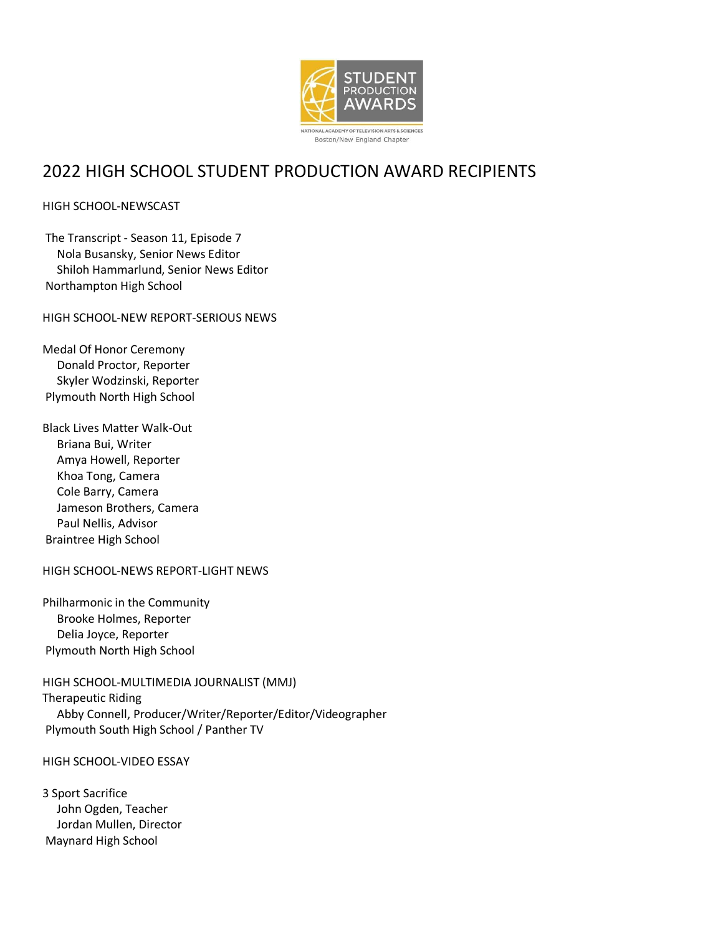

# 2022 HIGH SCHOOL STUDENT PRODUCTION AWARD RECIPIENTS

# HIGH SCHOOL-NEWSCAST

The Transcript - Season 11, Episode 7 Nola Busansky, Senior News Editor Shiloh Hammarlund, Senior News Editor Northampton High School

HIGH SCHOOL-NEW REPORT-SERIOUS NEWS

Medal Of Honor Ceremony Donald Proctor, Reporter Skyler Wodzinski, Reporter Plymouth North High School

Black Lives Matter Walk-Out Briana Bui, Writer Amya Howell, Reporter Khoa Tong, Camera Cole Barry, Camera Jameson Brothers, Camera Paul Nellis, Advisor Braintree High School

HIGH SCHOOL-NEWS REPORT-LIGHT NEWS

Philharmonic in the Community Brooke Holmes, Reporter Delia Joyce, Reporter Plymouth North High School

HIGH SCHOOL-MULTIMEDIA JOURNALIST (MMJ) Therapeutic Riding Abby Connell, Producer/Writer/Reporter/Editor/Videographer Plymouth South High School / Panther TV

# HIGH SCHOOL-VIDEO ESSAY

3 Sport Sacrifice John Ogden, Teacher Jordan Mullen, Director Maynard High School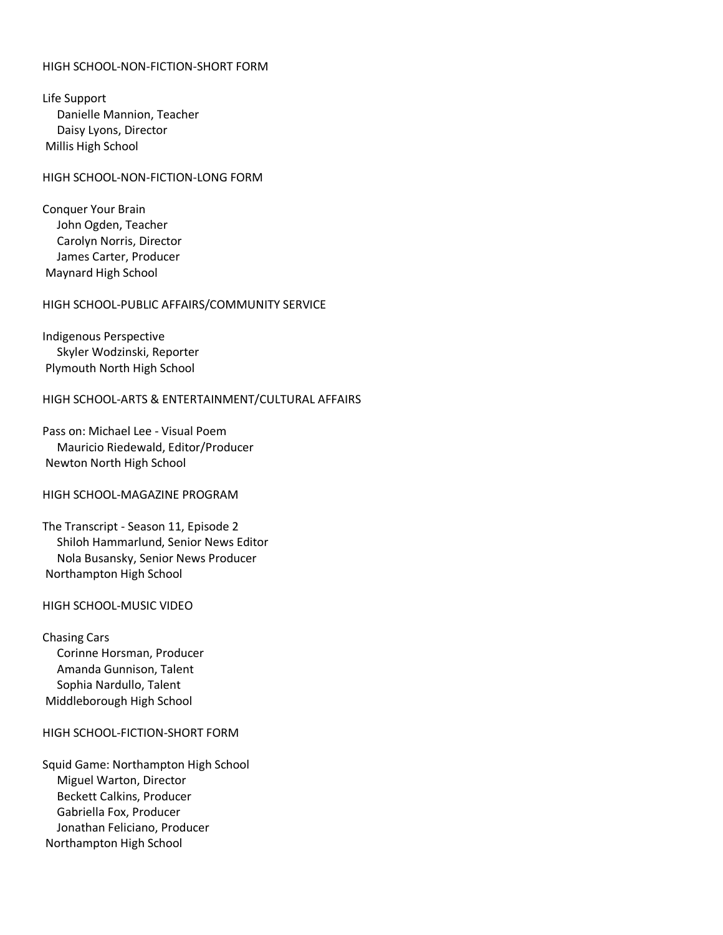# HIGH SCHOOL-NON-FICTION-SHORT FORM

Life Support Danielle Mannion, Teacher Daisy Lyons, Director Millis High School

#### HIGH SCHOOL-NON-FICTION-LONG FORM

Conquer Your Brain John Ogden, Teacher Carolyn Norris, Director James Carter, Producer Maynard High School

#### HIGH SCHOOL-PUBLIC AFFAIRS/COMMUNITY SERVICE

Indigenous Perspective Skyler Wodzinski, Reporter Plymouth North High School

## HIGH SCHOOL-ARTS & ENTERTAINMENT/CULTURAL AFFAIRS

Pass on: Michael Lee - Visual Poem Mauricio Riedewald, Editor/Producer Newton North High School

#### HIGH SCHOOL-MAGAZINE PROGRAM

The Transcript - Season 11, Episode 2 Shiloh Hammarlund, Senior News Editor Nola Busansky, Senior News Producer Northampton High School

## HIGH SCHOOL-MUSIC VIDEO

Chasing Cars Corinne Horsman, Producer Amanda Gunnison, Talent Sophia Nardullo, Talent Middleborough High School

#### HIGH SCHOOL-FICTION-SHORT FORM

Squid Game: Northampton High School Miguel Warton, Director Beckett Calkins, Producer Gabriella Fox, Producer Jonathan Feliciano, Producer Northampton High School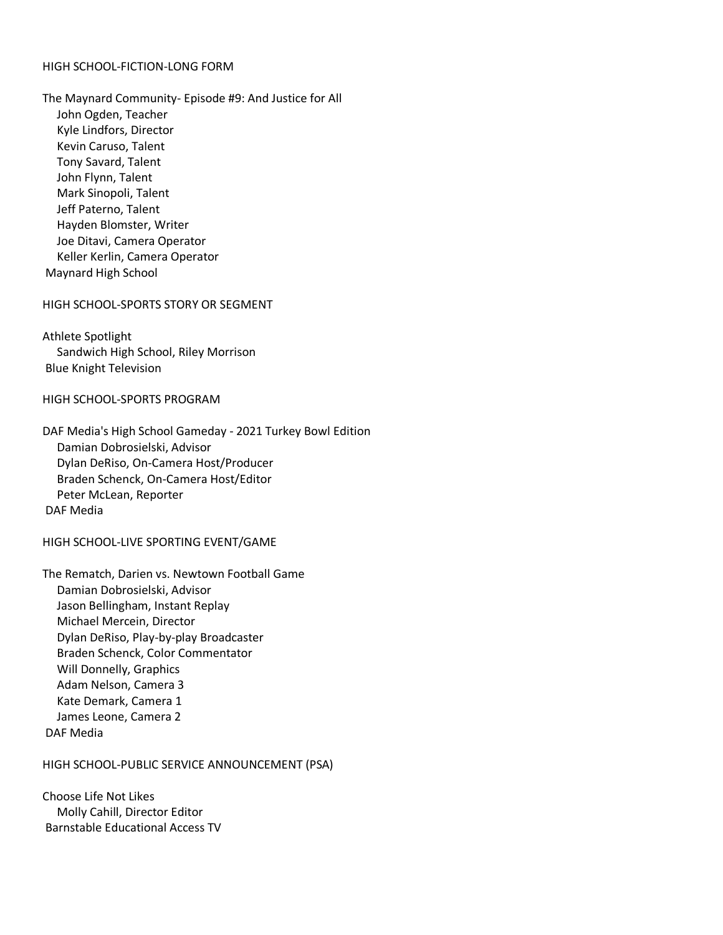# HIGH SCHOOL-FICTION-LONG FORM

The Maynard Community- Episode #9: And Justice for All John Ogden, Teacher Kyle Lindfors, Director Kevin Caruso, Talent Tony Savard, Talent John Flynn, Talent Mark Sinopoli, Talent Jeff Paterno, Talent Hayden Blomster, Writer Joe Ditavi, Camera Operator Keller Kerlin, Camera Operator Maynard High School

## HIGH SCHOOL-SPORTS STORY OR SEGMENT

Athlete Spotlight Sandwich High School, Riley Morrison Blue Knight Television

## HIGH SCHOOL-SPORTS PROGRAM

DAF Media's High School Gameday - 2021 Turkey Bowl Edition Damian Dobrosielski, Advisor Dylan DeRiso, On-Camera Host/Producer Braden Schenck, On-Camera Host/Editor Peter McLean, Reporter DAF Media

### HIGH SCHOOL-LIVE SPORTING EVENT/GAME

The Rematch, Darien vs. Newtown Football Game Damian Dobrosielski, Advisor Jason Bellingham, Instant Replay Michael Mercein, Director Dylan DeRiso, Play-by-play Broadcaster Braden Schenck, Color Commentator Will Donnelly, Graphics Adam Nelson, Camera 3 Kate Demark, Camera 1 James Leone, Camera 2 DAF Media

#### HIGH SCHOOL-PUBLIC SERVICE ANNOUNCEMENT (PSA)

Choose Life Not Likes Molly Cahill, Director Editor Barnstable Educational Access TV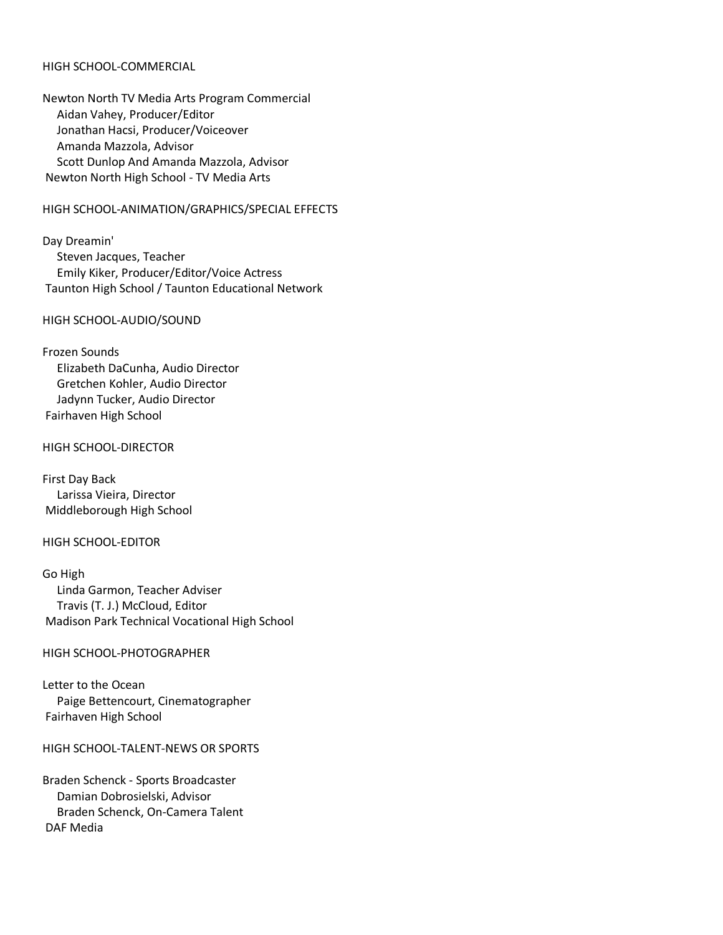# HIGH SCHOOL-COMMERCIAL

Newton North TV Media Arts Program Commercial Aidan Vahey, Producer/Editor Jonathan Hacsi, Producer/Voiceover Amanda Mazzola, Advisor Scott Dunlop And Amanda Mazzola, Advisor Newton North High School - TV Media Arts

#### HIGH SCHOOL-ANIMATION/GRAPHICS/SPECIAL EFFECTS

Day Dreamin' Steven Jacques, Teacher Emily Kiker, Producer/Editor/Voice Actress Taunton High School / Taunton Educational Network

#### HIGH SCHOOL-AUDIO/SOUND

#### Frozen Sounds

 Elizabeth DaCunha, Audio Director Gretchen Kohler, Audio Director Jadynn Tucker, Audio Director Fairhaven High School

## HIGH SCHOOL-DIRECTOR

First Day Back Larissa Vieira, Director Middleborough High School

### HIGH SCHOOL-EDITOR

Go High Linda Garmon, Teacher Adviser Travis (T. J.) McCloud, Editor Madison Park Technical Vocational High School

#### HIGH SCHOOL-PHOTOGRAPHER

Letter to the Ocean Paige Bettencourt, Cinematographer Fairhaven High School

HIGH SCHOOL-TALENT-NEWS OR SPORTS

Braden Schenck - Sports Broadcaster Damian Dobrosielski, Advisor Braden Schenck, On-Camera Talent DAF Media